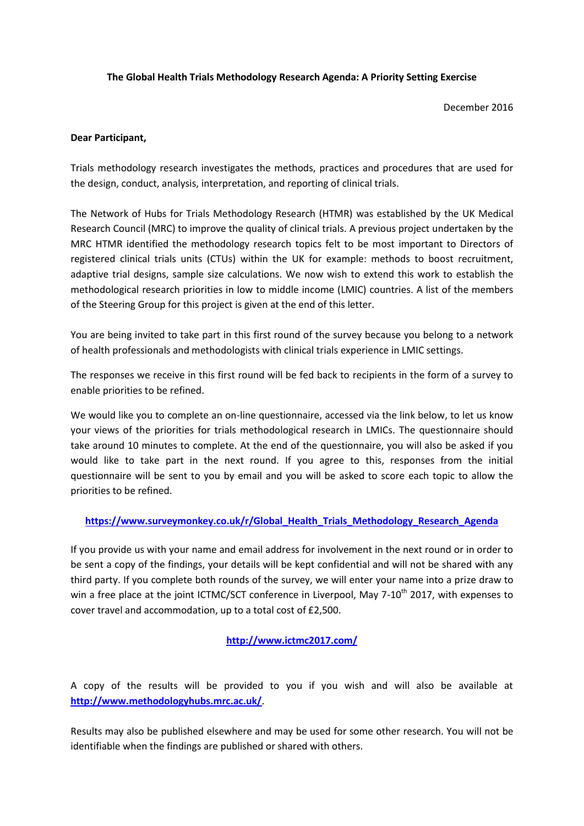#### **The Global Health Trials Methodology Research Agenda: A Priority Setting Exercise**

December 2016

#### **Dear Participant,**

Trials methodology research investigates the methods, practices and procedures that are used for the design, conduct, analysis, interpretation, and reporting of clinical trials.

The Network of Hubs for Trials Methodology Research (HTMR) was established by the UK Medical Research Council (MRC) to improve the quality of clinical trials. A previous project undertaken by the MRC HTMR identified the methodology research topics felt to be most important to Directors of registered clinical trials units (CTUs) within the UK for example: methods to boost recruitment, adaptive trial designs, sample size calculations. We now wish to extend this work to establish the methodological research priorities in low to middle income (LMIC) countries. A list of the members of the Steering Group for this project is given at the end of this letter.

You are being invited to take part in this first round of the survey because you belong to a network of health professionals and methodologists with clinical trials experience in LMIC settings.

The responses we receive in this first round will be fed back to recipients in the form of a survey to enable priorities to be refined.

We would like you to complete an on-line questionnaire, accessed via the link below, to let us know your views of the priorities for trials methodological research in LMICs. The questionnaire should take around 10 minutes to complete. At the end of the questionnaire, you will also be asked if you would like to take part in the next round. If you agree to this, responses from the initial questionnaire will be sent to you by email and you will be asked to score each topic to allow the priorities to be refined.

# **[https://www.surveymonkey.co.uk/r/Global\\_Health\\_Trials\\_Methodology\\_Research\\_Agenda](https://www.surveymonkey.co.uk/r/Global_Health_Trials_Methodology_Research_Agenda)**

If you provide us with your name and email address for involvement in the next round or in order to be sent a copy of the findings, your details will be kept confidential and will not be shared with any third party. If you complete both rounds of the survey, we will enter your name into a prize draw to win a free place at the joint ICTMC/SCT conference in Liverpool, May 7-10<sup>th</sup> 2017, with expenses to cover travel and accommodation, up to a total cost of £2,500.

# **<http://www.ictmc2017.com/>**

A copy of the results will be provided to you if you wish and will also be available at **<http://www.methodologyhubs.mrc.ac.uk/>**.

Results may also be published elsewhere and may be used for some other research. You will not be identifiable when the findings are published or shared with others.